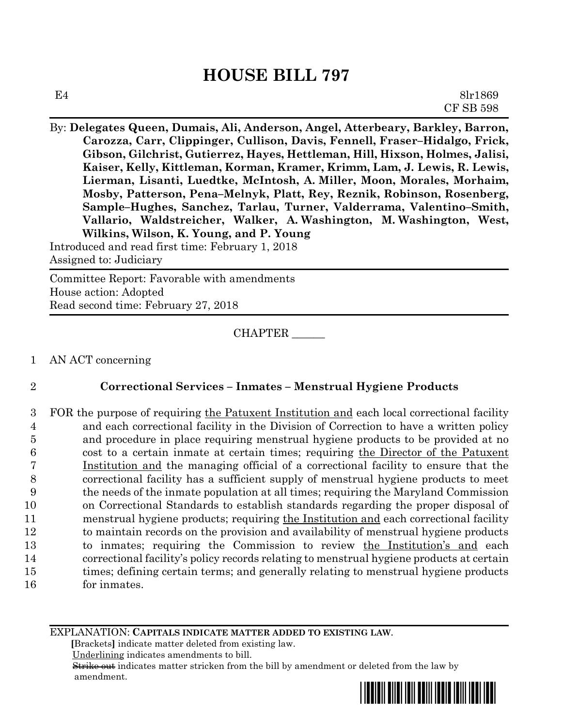## **HOUSE BILL 797**

By: **Delegates Queen, Dumais, Ali, Anderson, Angel, Atterbeary, Barkley, Barron, Carozza, Carr, Clippinger, Cullison, Davis, Fennell, Fraser–Hidalgo, Frick, Gibson, Gilchrist, Gutierrez, Hayes, Hettleman, Hill, Hixson, Holmes, Jalisi, Kaiser, Kelly, Kittleman, Korman, Kramer, Krimm, Lam, J. Lewis, R. Lewis, Lierman, Lisanti, Luedtke, McIntosh, A. Miller, Moon, Morales, Morhaim, Mosby, Patterson, Pena–Melnyk, Platt, Rey, Reznik, Robinson, Rosenberg, Sample–Hughes, Sanchez, Tarlau, Turner, Valderrama, Valentino–Smith, Vallario, Waldstreicher, Walker, A. Washington, M. Washington, West, Wilkins, Wilson, K. Young, and P. Young**

Introduced and read first time: February 1, 2018 Assigned to: Judiciary

Committee Report: Favorable with amendments House action: Adopted Read second time: February 27, 2018

CHAPTER \_\_\_\_\_\_

1 AN ACT concerning

## 2 **Correctional Services – Inmates – Menstrual Hygiene Products**

3 FOR the purpose of requiring the Patuxent Institution and each local correctional facility and each correctional facility in the Division of Correction to have a written policy and procedure in place requiring menstrual hygiene products to be provided at no cost to a certain inmate at certain times; requiring the Director of the Patuxent Institution and the managing official of a correctional facility to ensure that the correctional facility has a sufficient supply of menstrual hygiene products to meet the needs of the inmate population at all times; requiring the Maryland Commission on Correctional Standards to establish standards regarding the proper disposal of 11 menstrual hygiene products; requiring the Institution and each correctional facility to maintain records on the provision and availability of menstrual hygiene products to inmates; requiring the Commission to review the Institution's and each correctional facility's policy records relating to menstrual hygiene products at certain times; defining certain terms; and generally relating to menstrual hygiene products for inmates.

EXPLANATION: **CAPITALS INDICATE MATTER ADDED TO EXISTING LAW**.

 **[**Brackets**]** indicate matter deleted from existing law.

Underlining indicates amendments to bill.

 Strike out indicates matter stricken from the bill by amendment or deleted from the law by amendment.

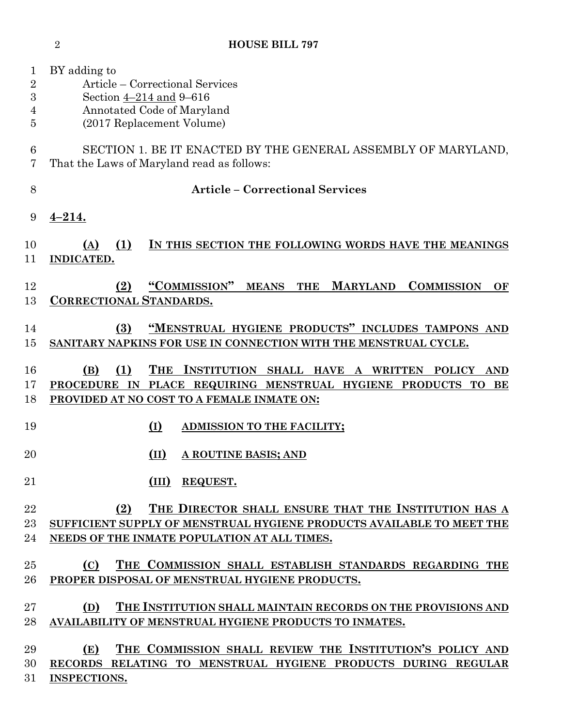BY adding to Article – Correctional Services Section 4–214 and 9–616 Annotated Code of Maryland (2017 Replacement Volume) SECTION 1. BE IT ENACTED BY THE GENERAL ASSEMBLY OF MARYLAND, That the Laws of Maryland read as follows: **Article – Correctional Services 4–214. (A) (1) IN THIS SECTION THE FOLLOWING WORDS HAVE THE MEANINGS INDICATED. (2) "COMMISSION" MEANS THE MARYLAND COMMISSION OF CORRECTIONAL STANDARDS. (3) "MENSTRUAL HYGIENE PRODUCTS" INCLUDES TAMPONS AND SANITARY NAPKINS FOR USE IN CONNECTION WITH THE MENSTRUAL CYCLE. (B) (1) THE INSTITUTION SHALL HAVE A WRITTEN POLICY AND PROCEDURE IN PLACE REQUIRING MENSTRUAL HYGIENE PRODUCTS TO BE PROVIDED AT NO COST TO A FEMALE INMATE ON: (I) ADMISSION TO THE FACILITY; (II) A ROUTINE BASIS; AND (III) REQUEST. (2) THE DIRECTOR SHALL ENSURE THAT THE INSTITUTION HAS A SUFFICIENT SUPPLY OF MENSTRUAL HYGIENE PRODUCTS AVAILABLE TO MEET THE NEEDS OF THE INMATE POPULATION AT ALL TIMES. (C) THE COMMISSION SHALL ESTABLISH STANDARDS REGARDING THE PROPER DISPOSAL OF MENSTRUAL HYGIENE PRODUCTS. (D) THE INSTITUTION SHALL MAINTAIN RECORDS ON THE PROVISIONS AND AVAILABILITY OF MENSTRUAL HYGIENE PRODUCTS TO INMATES. (E) THE COMMISSION SHALL REVIEW THE INSTITUTION'S POLICY AND RECORDS RELATING TO MENSTRUAL HYGIENE PRODUCTS DURING REGULAR INSPECTIONS.**

**HOUSE BILL 797**